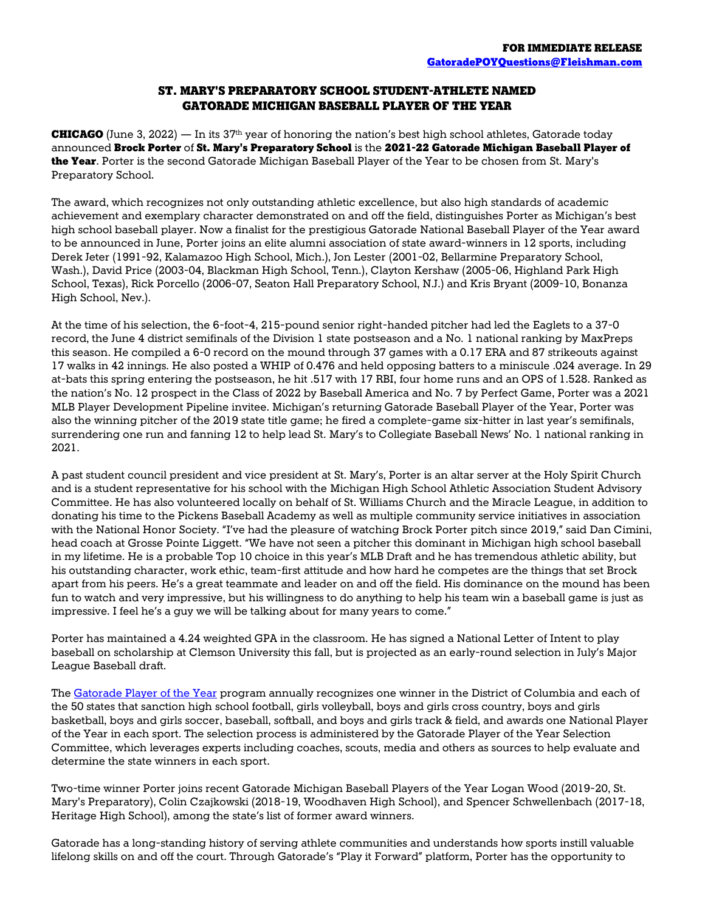## ST. MARY'S PREPARATORY SCHOOL STUDENT-ATHLETE NAMED GATORADE MICHIGAN BASEBALL PLAYER OF THE YEAR

**CHICAGO** (June 3, 2022) — In its 37<sup>th</sup> year of honoring the nation's best high school athletes, Gatorade today announced Brock Porter of St. Mary's Preparatory School is the 2021-22 Gatorade Michigan Baseball Player of the Year. Porter is the second Gatorade Michigan Baseball Player of the Year to be chosen from St. Mary's Preparatory School.

The award, which recognizes not only outstanding athletic excellence, but also high standards of academic achievement and exemplary character demonstrated on and off the field, distinguishes Porter as Michigan's best high school baseball player. Now a finalist for the prestigious Gatorade National Baseball Player of the Year award to be announced in June, Porter joins an elite alumni association of state award-winners in 12 sports, including Derek Jeter (1991-92, Kalamazoo High School, Mich.), Jon Lester (2001-02, Bellarmine Preparatory School, Wash.), David Price (2003-04, Blackman High School, Tenn.), Clayton Kershaw (2005-06, Highland Park High School, Texas), Rick Porcello (2006-07, Seaton Hall Preparatory School, N.J.) and Kris Bryant (2009-10, Bonanza High School, Nev.).

At the time of his selection, the 6-foot-4, 215-pound senior right-handed pitcher had led the Eaglets to a 37-0 record, the June 4 district semifinals of the Division 1 state postseason and a No. 1 national ranking by MaxPreps this season. He compiled a 6-0 record on the mound through 37 games with a 0.17 ERA and 87 strikeouts against 17 walks in 42 innings. He also posted a WHIP of 0.476 and held opposing batters to a miniscule .024 average. In 29 at-bats this spring entering the postseason, he hit .517 with 17 RBI, four home runs and an OPS of 1.528. Ranked as the nation's No. 12 prospect in the Class of 2022 by Baseball America and No. 7 by Perfect Game, Porter was a 2021 MLB Player Development Pipeline invitee. Michigan's returning Gatorade Baseball Player of the Year, Porter was also the winning pitcher of the 2019 state title game; he fired a complete-game six-hitter in last year's semifinals, surrendering one run and fanning 12 to help lead St. Mary's to Collegiate Baseball News' No. 1 national ranking in 2021.

A past student council president and vice president at St. Mary's, Porter is an altar server at the Holy Spirit Church and is a student representative for his school with the Michigan High School Athletic Association Student Advisory Committee. He has also volunteered locally on behalf of St. Williams Church and the Miracle League, in addition to donating his time to the Pickens Baseball Academy as well as multiple community service initiatives in association with the National Honor Society. "I've had the pleasure of watching Brock Porter pitch since 2019," said Dan Cimini, head coach at Grosse Pointe Liggett. "We have not seen a pitcher this dominant in Michigan high school baseball in my lifetime. He is a probable Top 10 choice in this year's MLB Draft and he has tremendous athletic ability, but his outstanding character, work ethic, team-first attitude and how hard he competes are the things that set Brock apart from his peers. He's a great teammate and leader on and off the field. His dominance on the mound has been fun to watch and very impressive, but his willingness to do anything to help his team win a baseball game is just as impressive. I feel he's a guy we will be talking about for many years to come."

Porter has maintained a 4.24 weighted GPA in the classroom. He has signed a National Letter of Intent to play baseball on scholarship at Clemson University this fall, but is projected as an early-round selection in July's Major League Baseball draft.

The [Gatorade Player of the Year](http://www.gatorade.com/poy/overview.aspx) program annually recognizes one winner in the District of Columbia and each of the 50 states that sanction high school football, girls volleyball, boys and girls cross country, boys and girls basketball, boys and girls soccer, baseball, softball, and boys and girls track & field, and awards one National Player of the Year in each sport. The selection process is administered by the Gatorade Player of the Year Selection Committee, which leverages experts including coaches, scouts, media and others as sources to help evaluate and determine the state winners in each sport.

Two-time winner Porter joins recent Gatorade Michigan Baseball Players of the Year Logan Wood (2019-20, St. Mary's Preparatory), Colin Czajkowski (2018-19, Woodhaven High School), and Spencer Schwellenbach (2017-18, Heritage High School), among the state's list of former award winners.

Gatorade has a long-standing history of serving athlete communities and understands how sports instill valuable lifelong skills on and off the court. Through Gatorade's "Play it Forward" platform, Porter has the opportunity to